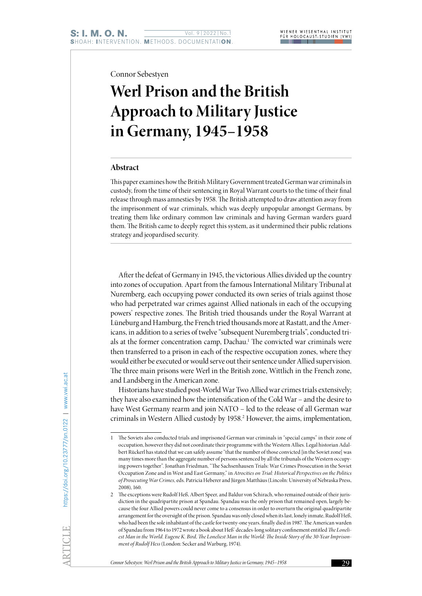Connor Sebestyen

# **Werl Prison and the British Approach to Military Justice in Germany, 1945–1958**

# **Abstract**

This paper examines how the British Military Government treated German war criminals in custody, from the time of their sentencing in Royal Warrant courts to the time of their final release through mass amnesties by 1958. The British attempted to draw attention away from the imprisonment of war criminals, which was deeply unpopular amongst Germans, by treating them like ordinary common law criminals and having German warders guard them. The British came to deeply regret this system, as it undermined their public relations strategy and jeopardised security.

After the defeat of Germany in 1945, the victorious Allies divided up the country into zones of occupation. Apart from the famous International Military Tribunal at Nuremberg, each occupying power conducted its own series of trials against those who had perpetrated war crimes against Allied nationals in each of the occupying powers' respective zones. The British tried thousands under the Royal Warrant at Lüneburg and Hamburg, the French tried thousands more at Rastatt, and the Americans, in addition to a series of twelve "subsequent Nuremberg trials", conducted trials at the former concentration camp, Dachau.<sup>1</sup> The convicted war criminals were then transferred to a prison in each of the respective occupation zones, where they would either be executed or would serve out their sentence under Allied supervision. The three main prisons were Werl in the British zone, Wittlich in the French zone, and Landsberg in the American zone.

Historians have studied post-World War Two Allied war crimes trials extensively; they have also examined how the intensification of the Cold War – and the desire to have West Germany rearm and join NATO – led to the release of all German war criminals in Western Allied custody by 1958.2 However, the aims, implementation,

<sup>1</sup> The Soviets also conducted trials and imprisoned German war criminals in "special camps" in their zone of occupation, however they did not coordinate their programme with the Western Allies. Legal historian Adalbert Rückerl has stated that we can safely assume "that the number of those convicted [in the Soviet zone] was many times more than the aggregate number of persons sentenced by all the tribunals of the Western occupying powers together". Jonathan Friedman, "The Sachsenhausen Trials: War Crimes Prosecution in the Soviet Occupation Zone and in West and East Germany," in *Atrocities on Trial: Historical Perspectives on the Politics of Prosecuting War Crimes,* eds. Patricia Heberer and Jürgen Matthäus (Lincoln: University of Nebraska Press, 2008), 160.

<sup>2</sup> The exceptions were Rudolf Heß, Albert Speer, and Baldur von Schirach, who remained outside of their jurisdiction in the quadripartite prison at Spandau. Spandau was the only prison that remained open, largely because the four Allied powers could never come to a consensus in order to overturn the original quadripartite arrangement for the oversight of the prison. Spandau was only closed when its last, lonely inmate, Rudolf Heß, who had been the sole inhabitant of the castle for twenty-one years, finally died in 1987. The American warden of Spandau from 1964 to 1972 wrote a book about Heß' decades-long solitary confinement entitled *The Loneliest Man in the World. Eugene K. Bird, The Loneliest Man in the World: The Inside Story of the 30-Year Imprisonment of Rudolf Hess* (London: Secker and Warburg, 1974).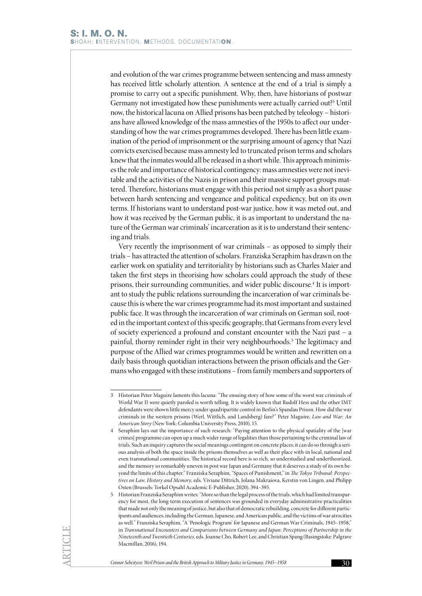and evolution of the war crimes programme between sentencing and mass amnesty has received little scholarly attention. A sentence at the end of a trial is simply a promise to carry out a specific punishment. Why, then, have historians of postwar Germany not investigated how these punishments were actually carried out?<sup>3</sup> Until now, the historical lacuna on Allied prisons has been patched by teleology – historians have allowed knowledge of the mass amnesties of the 1950s to affect our understanding of how the war crimes programmes developed. There has been little examination of the period of imprisonment or the surprising amount of agency that Nazi convicts exercised because mass amnesty led to truncated prison terms and scholars knew that the inmates would all be released in a short while. This approach minimises the role and importance of historical contingency: mass amnesties were not inevitable and the activities of the Nazis in prison and their massive support groups mattered. Therefore, historians must engage with this period not simply as a short pause between harsh sentencing and vengeance and political expediency, but on its own terms. If historians want to understand post-war justice, how it was meted out, and how it was received by the German public, it is as important to understand the nature of the German war criminals' incarceration as it is to understand their sentencing and trials.

Very recently the imprisonment of war criminals – as opposed to simply their trials – has attracted the attention of scholars. Franziska Seraphim has drawn on the earlier work on spatiality and territoriality by historians such as Charles Maier and taken the first steps in theorising how scholars could approach the study of these prisons, their surrounding communities, and wider public discourse.<sup>4</sup> It is important to study the public relations surrounding the incarceration of war criminals because this is where the war crimes programme had its most important and sustained public face. It was through the incarceration of war criminals on German soil, rooted in the important context of this specific geography, that Germans from every level of society experienced a profound and constant encounter with the Nazi past – a painful, thorny reminder right in their very neighbourhoods.5 The legitimacy and purpose of the Allied war crimes programmes would be written and rewritten on a daily basis through quotidian interactions between the prison officials and the Germans who engaged with these institutions – from family members and supporters of

<sup>3</sup> Historian Peter Maguire laments this lacuna: "The ensuing story of how some of the worst war criminals of World War II were quietly paroled is worth telling. It is widely known that Rudolf Hess and the other IMT defendants were shown little mercy under quadripartite control in Berlin's Spandau Prison. How did the war criminals in the western prisons (Werl, Wittlich, and Landsberg) fare?" Peter Maguire, *Law and War: An American Story* (New York: Columbia University Press, 2010), 15.

<sup>4</sup> Seraphim lays out the importance of such research: "Paying attention to the physical spatiality of the [war crimes] programme can open up a much wider range of legalities than those pertaining to the criminal law of trials. Such an inquiry captures the social meanings contingent on concrete places; it can do so through a serious analysis of both the space inside the prisons themselves as well as their place with-in local, national and even transnational communities. The historical record here is so rich, so understudied and undertheorized, and the memory so remarkably uneven in post war Japan and Germany that it deserves a study of its own beyond the limits of this chapter." Franziska Seraphim, "Spaces of Punishment," in *The Tokyo Tribunal: Perspectives on Law, History and Memory,* eds. Viviane Dittrich, Jolana Makraiova, Kerstin von Lingen, and Philipp Osten (Brussels: Torkel Opsahl Academic E-Publisher, 2020), 394–395.

<sup>5</sup> Historian Franziska Seraphim writes: "More so than the legal process of the trials, which had limited transparency for most, the long-term execution of sentences was grounded in everyday administrative practicalities that made not only the meaning of justice, but also that of democratic rebuilding, concrete for different participants and audiences, including the German, Japanese, and American public, and the victims of war atrocities as well." Franziska Seraphim, "A 'Penologic Program' for Japanese and German War Criminals, 1945–1958," in *Transnational Encounters and Comparisons between Germany and Japan: Perceptions of Partnership in the Nineteenth and Twentieth Centuries,* eds. Joanne Cho, Robert Lee, and Christian Spang (Basingstoke: Palgrave Macmillan, 2016), 194.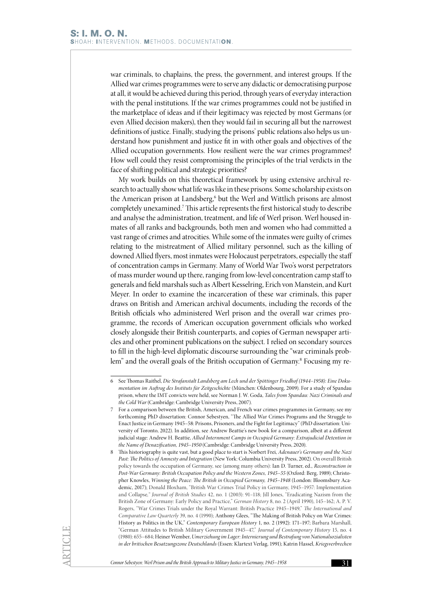war criminals, to chaplains, the press, the government, and interest groups. If the Allied war crimes programmes were to serve any didactic or democratising purpose at all, it would be achieved during this period, through years of everyday interaction with the penal institutions. If the war crimes programmes could not be justified in the marketplace of ideas and if their legitimacy was rejected by most Germans (or even Allied decision makers), then they would fail in securing all but the narrowest definitions of justice. Finally, studying the prisons' public relations also helps us understand how punishment and justice fit in with other goals and objectives of the Allied occupation governments. How resilient were the war crimes programmes? How well could they resist compromising the principles of the trial verdicts in the face of shifting political and strategic priorities?

My work builds on this theoretical framework by using extensive archival research to actually show what life was like in these prisons. Some scholarship exists on the American prison at Landsberg,<sup>6</sup> but the Werl and Wittlich prisons are almost completely unexamined.7 This article represents the first historical study to describe and analyse the administration, treatment, and life of Werl prison. Werl housed inmates of all ranks and backgrounds, both men and women who had committed a vast range of crimes and atrocities. While some of the inmates were guilty of crimes relating to the mistreatment of Allied military personnel, such as the killing of downed Allied flyers, most inmates were Holocaust perpetrators, especially the staff of concentration camps in Germany. Many of World War Two's worst perpetrators of mass murder wound up there, ranging from low-level concentration camp staff to generals and field marshals such as Albert Kesselring, Erich von Manstein, and Kurt Meyer. In order to examine the incarceration of these war criminals, this paper draws on British and American archival documents, including the records of the British officials who administered Werl prison and the overall war crimes programme, the records of American occupation government officials who worked closely alongside their British counterparts, and copies of German newspaper articles and other prominent publications on the subject. I relied on secondary sources to fill in the high-level diplomatic discourse surrounding the "war criminals problem" and the overall goals of the British occupation of Germany.8 Focusing my re-

<sup>6</sup> See Thomas Raithel, *Die Strafanstalt Landsberg am Lech und der Spöttinger Friedhof (1944–1958): Eine Dokumentation im Auftrag des Instituts für Zeitgeschichte* (München: Oldenbourg, 2009). For a study of Spandau prison, where the IMT convicts were held, see Norman J. W. Goda, *Tales from Spandau: Nazi Criminals and the Cold War* (Cambridge: Cambridge University Press, 2007).

<sup>7</sup> For a comparison between the British, American, and French war crimes programmes in Germany, see my forthcoming PhD dissertation: Connor Sebestyen, "The Allied War Crimes Programs and the Struggle to Enact Justice in Germany 1945–58: Prisons, Prisoners, and the Fight for Legitimacy" (PhD dissertation: University of Toronto, 2022). In addition, see Andrew Beattie's new book for a comparison, albeit at a different judicial stage: Andrew H. Beattie, *Allied Internment Camps in Occupied Germany: Extrajudicial Detention in the Name of Denazification, 1945–1950* (Cambridge: Cambridge University Press, 2020).

<sup>8</sup> This historiography is quite vast, but a good place to start is Norbert Frei, *Adenauer's Germany and the Nazi Past: The Politics of Amnesty and Integration* (New York: Columbia University Press, 2002). On overall British policy towards the occupation of Germany, see (among many others): Ian D. Turner, ed., *Reconstruction in Post-War Germany: British Occupation Policy and the Western Zones, 1945–55* (Oxford: Berg, 1989); Christopher Knowles, *Winning the Peace: The British in Occupied Germany, 1945–1948* (London: Bloomsbury Academic, 2017); Donald Bloxham, "British War Crimes Trial Policy in Germany, 1945–1957: Implementation and Collapse*," Journal of British Studies*  42, no. 1 (2003): 91–118; Jill Jones, "Eradicating Nazism from the British Zone of Germany: Early Policy and Practice," *German History* 8, no. 2 (April 1990), 145–162; A. P. V. Rogers, "War Crimes Trials under the Royal Warrant: British Practice 1945–1949," *The International and Comparative Law Quarterly* 39, no. 4 (1990); Anthony Glees, "The Making of British Policy on War Crimes: History as Politics in the UK," *Contemporary European History* 1, no. 2 (1992): 171–197; Barbara Marshall, "German Attitudes to British Military Government 1945–47," *Journal of Contemporary History* 15, no. 4 (1980): 655–684; Heiner Wember, *Umerziehung im Lager: Internierung und Bestrafung von Nationalsozialisten in der britischen Besatzungszone Deutschlands* (Essen: Klartext Verlag, 1991); Katrin Hassel, *Kriegsverbrechen*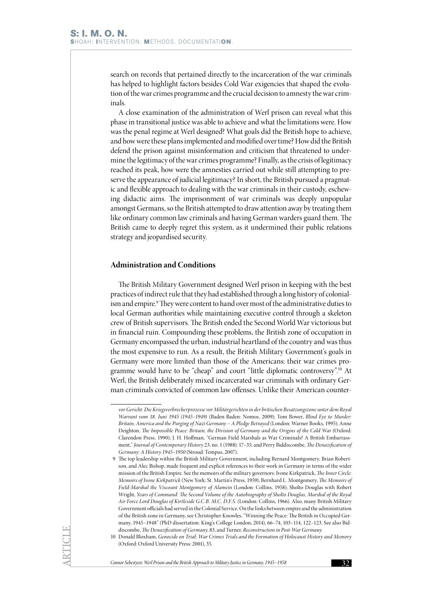search on records that pertained directly to the incarceration of the war criminals has helped to highlight factors besides Cold War exigencies that shaped the evolution of the war crimes programme and the crucial decision to amnesty the war criminals.

A close examination of the administration of Werl prison can reveal what this phase in transitional justice was able to achieve and what the limitations were. How was the penal regime at Werl designed? What goals did the British hope to achieve, and how were these plans implemented and modified over time? How did the British defend the prison against misinformation and criticism that threatened to undermine the legitimacy of the war crimes programme? Finally, as the crisis of legitimacy reached its peak, how were the amnesties carried out while still attempting to preserve the appearance of judicial legitimacy? In short, the British pursued a pragmatic and flexible approach to dealing with the war criminals in their custody, eschewing didactic aims. The imprisonment of war criminals was deeply unpopular amongst Germans, so the British attempted to draw attention away by treating them like ordinary common law criminals and having German warders guard them. The British came to deeply regret this system, as it undermined their public relations strategy and jeopardised security.

# **Administration and Conditions**

The British Military Government designed Werl prison in keeping with the best practices of indirect rule that they had established through a long history of colonialism and empire.<sup>9</sup> They were content to hand over most of the administrative duties to local German authorities while maintaining executive control through a skeleton crew of British supervisors. The British ended the Second World War victorious but in financial ruin. Compounding these problems, the British zone of occupation in Germany encompassed the urban, industrial heartland of the country and was thus the most expensive to run. As a result, the British Military Government's goals in Germany were more limited than those of the Americans: their war crimes programme would have to be "cheap" and court "little diplomatic controversy".10 At Werl, the British deliberately mixed incarcerated war criminals with ordinary German criminals convicted of common law offenses. Unlike their American counter-

*vor Gericht: Die Kriegsverbrecherprozesse vor Militärgerichten in der britischen Besatzungszone unter dem Royal Warrant vom 18. Juni 1945 (1945–1949)* (Baden-Baden: Nomos, 2009); Tom Bower, *Blind Eye to Murder: Britain, America and the Purging of Nazi Germany – A Pledge Betrayed* (London: Warner Books, 1995); Anne Deighton, *The Impossible Peace: Britain, the Division of Germany and the Origins of the Cold War (Oxford:* Clarendon Press, 1990); J. H. Hoffman, "German Field Marshals as War Criminals? A British Embarrassment," *Journal of Contemporary History* 23, no. 1 (1988): 17–35; and Perry Biddiscombe, *The Denazification of Germany: A History 1945–1950* (Stroud: Tempus, 2007).

<sup>9</sup> The top leadership within the British Military Government, including Bernard Montgomery, Brian Robertson, and Alec Bishop, made frequent and explicit references to their work in Germany in terms of the wider mission of the British Empire. See the memoirs of the military governors: Ivone Kirkpatrick, *The Inner Circle: Memoirs of Ivone Kirkpatrick* (New York: St. Martin's Press, 1959); Bernhard L. Montgomery, *The Memoirs of Field-Marshal the Viscount Montgomery of Alamein* (London: Collins, 1958); Sholto Douglas with Robert Wright, *Years of Command: The Second Volume of the Autobiography of Sholto Douglas, Marshal of the Royal Air Force Lord Douglas of Kirtleside G.C.B. M.C. D.F.S.* (London: Collins, 1966). Also, many British Military Government officials had served in the Colonial Service. On the links between empire and the administration of the British zone in Germany, see Christopher Knowles, "Winning the Peace: The British in Occupied Germany, 1945–1948" (PhD dissertation: King's College London, 2014), 66–74, 103–114, 122–123. See also Biddiscombe, *The Denazification of Germany*, 83, and Turner, *Reconstruction in Post-War Germany.*

<sup>10</sup> Donald Bloxham, *Genocide on Trial: War Crimes Trials and the Formation of Holocaust History and Memory* (Oxford: Oxford University Press: 2001), 35.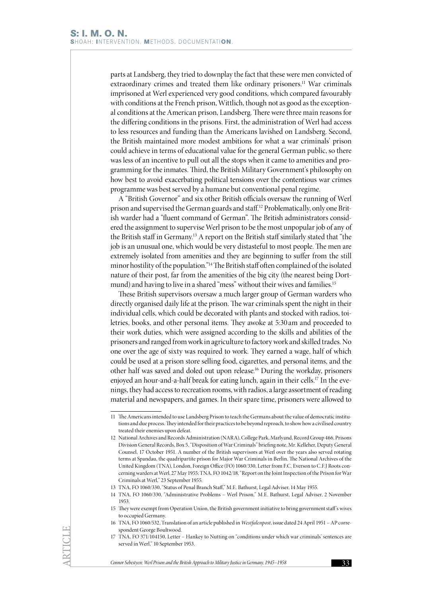parts at Landsberg, they tried to downplay the fact that these were men convicted of extraordinary crimes and treated them like ordinary prisoners.<sup>11</sup> War criminals imprisoned at Werl experienced very good conditions, which compared favourably with conditions at the French prison, Wittlich, though not as good as the exceptional conditions at the American prison, Landsberg. There were three main reasons for the differing conditions in the prisons. First, the administration of Werl had access to less resources and funding than the Americans lavished on Landsberg. Second, the British maintained more modest ambitions for what a war criminals' prison could achieve in terms of educational value for the general German public, so there was less of an incentive to pull out all the stops when it came to amenities and programming for the inmates. Third, the British Military Government's philosophy on how best to avoid exacerbating political tensions over the contentious war crimes programme was best served by a humane but conventional penal regime.

A "British Governor" and six other British officials oversaw the running of Werl prison and supervised the German guards and staff.12 Problematically, only one British warder had a "fluent command of German". The British administrators considered the assignment to supervise Werl prison to be the most unpopular job of any of the British staff in Germany.13 A report on the British staff similarly stated that "the job is an unusual one, which would be very distasteful to most people. The men are extremely isolated from amenities and they are beginning to suffer from the still minor hostility of the population."14 The British staff often complained of the isolated nature of their post, far from the amenities of the big city (the nearest being Dortmund) and having to live in a shared "mess" without their wives and families.<sup>15</sup>

These British supervisors oversaw a much larger group of German warders who directly organised daily life at the prison. The war criminals spent the night in their individual cells, which could be decorated with plants and stocked with radios, toiletries, books, and other personal items. They awoke at 5:30 am and proceeded to their work duties, which were assigned according to the skills and abilities of the prisoners and ranged from work in agriculture to factory work and skilled trades. No one over the age of sixty was required to work. They earned a wage, half of which could be used at a prison store selling food, cigarettes, and personal items, and the other half was saved and doled out upon release.16 During the workday, prisoners enjoyed an hour-and-a-half break for eating lunch, again in their cells.17 In the evenings, they had access to recreation rooms, with radios, a large assortment of reading material and newspapers, and games. In their spare time, prisoners were allowed to

<sup>11</sup> The Americans intended to use Landsberg Prison to teach the Germans about the value of democratic institutions and due process. They intended for their practices to be beyond reproach, to show how a civilised country treated their enemies upon defeat.

<sup>12</sup> National Archives and Records Administration (NARA), College Park, Marlyand, Record Group 466, Prisons Division General Records, Box 5, "Disposition of War Criminals" briefing note, Mr. Kelleher, Deputy General Counsel, 17 October 1951. A number of the British supervisors at Werl over the years also served rotating terms at Spandau, the quadripartite prison for Major War Criminals in Berlin. The National Archives of the United Kingdom (TNA), London, Foreign Office (FO) 1060/330, Letter from F.C. Everson to C.F.J Roots concerning warders at Werl, 27 May 1955; TNA, FO 1042/18, "Report on the Joint Inspection of the Prison for War Criminals at Werl," 23 September 1955.

<sup>13</sup> TNA, FO 1060/330, "Status of Penal Branch Staff," M.E. Bathurst, Legal Adviser, 14 May 1955.

<sup>14</sup> TNA, FO 1060/330, "Administrative Problems – Werl Prison," M.E. Bathurst, Legal Adviser, 2 November 1953.

<sup>15</sup> They were exempt from Operation Union, the British government initiative to bring government staff's wives to occupied Germany.

<sup>16</sup> TNA, FO 1060/532, Translation of an article published in *Westfalenpost*, issue dated 24 April 1951 – AP correspondent George Boultwood.

<sup>17</sup> TNA, FO 371/104150, Letter – Hankey to Nutting on "conditions under which war criminals' sentences are served in Werl," 10 September 1953.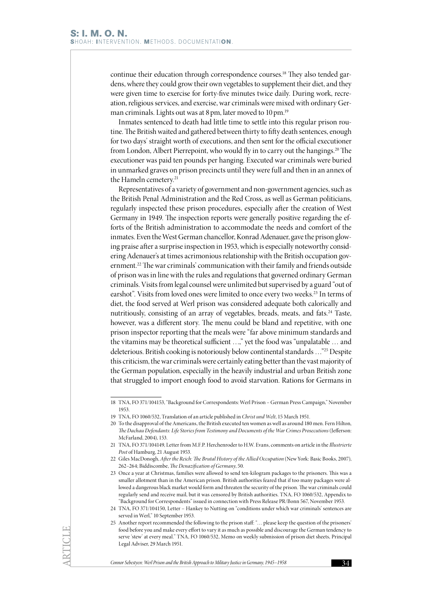continue their education through correspondence courses.18 They also tended gardens, where they could grow their own vegetables to supplement their diet, and they were given time to exercise for forty-five minutes twice daily. During work, recreation, religious services, and exercise, war criminals were mixed with ordinary German criminals. Lights out was at 8 pm, later moved to 10 pm.<sup>19</sup>

Inmates sentenced to death had little time to settle into this regular prison routine. The British waited and gathered between thirty to fifty death sentences, enough for two days' straight worth of executions, and then sent for the official executioner from London, Albert Pierrepoint, who would fly in to carry out the hangings.20 The executioner was paid ten pounds per hanging. Executed war criminals were buried in unmarked graves on prison precincts until they were full and then in an annex of the Hameln cemetery.<sup>21</sup>

Representatives of a variety of government and non-government agencies, such as the British Penal Administration and the Red Cross, as well as German politicians, regularly inspected these prison procedures, especially after the creation of West Germany in 1949. The inspection reports were generally positive regarding the efforts of the British administration to accommodate the needs and comfort of the inmates. Even the West German chancellor, Konrad Adenauer, gave the prison glowing praise after a surprise inspection in 1953, which is especially noteworthy considering Adenauer's at times acrimonious relationship with the British occupation government.22 The war criminals' communication with their family and friends outside of prison was in line with the rules and regulations that governed ordinary German criminals. Visits from legal counsel were unlimited but supervised by a guard "out of earshot". Visits from loved ones were limited to once every two weeks.<sup>23</sup> In terms of diet, the food served at Werl prison was considered adequate both calorically and nutritiously, consisting of an array of vegetables, breads, meats, and fats.<sup>24</sup> Taste, however, was a different story. The menu could be bland and repetitive, with one prison inspector reporting that the meals were "far above minimum standards and the vitamins may be theoretical sufficient …," yet the food was "unpalatable … and deleterious. British cooking is notoriously below continental standards …"25 Despite this criticism, the war criminals were certainly eating better than the vast majority of the German population, especially in the heavily industrial and urban British zone that struggled to import enough food to avoid starvation. Rations for Germans in

<sup>18</sup> TNA, FO 371/104153, "Background for Correspondents: Werl Prison – German Press Campaign," November 1953.

<sup>19</sup> TNA, FO 1060/532, Translation of an article published in *Christ und Welt*, 15 March 1951.

<sup>20</sup> To the disapproval of the Americans, the British executed ten women as well as around 180 men. Fern Hilton, *The Dachau Defendants: Life Stories from Testimony and Documents of the War Crimes Prosecutions* (Jefferson: McFarland, 2004), 153.

<sup>21</sup> TNA, FO 371/104149, Letter from M.F.P. Herchenroder to H.W. Evans, comments on article in the *Illustrierte Post* of Hamburg, 21 August 1953.

<sup>22</sup> Giles MacDonogh, *After the Reich: The Brutal History of the Allied Occupation* (New York: Basic Books, 2007), 262–264; Biddiscombe, *The Denazification of Germany*, 50.

<sup>23</sup> Once a year at Christmas, families were allowed to send ten-kilogram packages to the prisoners. This was a smaller allotment than in the American prison. British authorities feared that if too many packages were allowed a dangerous black market would form and threaten the security of the prison. The war criminals could regularly send and receive mail, but it was censored by British authorities. TNA, FO 1060/532, Appendix to "Background for Correspondents" issued in connection with Press Release PR/Bonn 567, November 1953.

<sup>24</sup> TNA, FO 371/104150, Letter – Hankey to Nutting on "conditions under which war criminals' sentences are served in Werl," 10 September 1953.

<sup>25</sup> Another report recommended the following to the prison staff: "… please keep the question of the prisoners' food before you and make every effort to vary it as much as possible and discourage the German tendency to serve 'stew' at every meal." TNA, FO 1060/532, Memo on weekly submission of prison diet sheets, Principal Legal Adviser, 29 March 1951.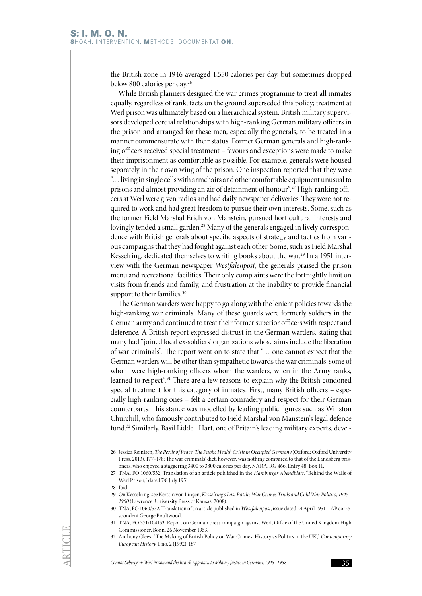the British zone in 1946 averaged 1,550 calories per day, but sometimes dropped below 800 calories per day.<sup>26</sup>

While British planners designed the war crimes programme to treat all inmates equally, regardless of rank, facts on the ground superseded this policy; treatment at Werl prison was ultimately based on a hierarchical system. British military supervisors developed cordial relationships with high-ranking German military officers in the prison and arranged for these men, especially the generals, to be treated in a manner commensurate with their status. Former German generals and high-ranking officers received special treatment – favours and exceptions were made to make their imprisonment as comfortable as possible. For example, generals were housed separately in their own wing of the prison. One inspection reported that they were "… living in single cells with armchairs and other comfortable equipment unusual to prisons and almost providing an air of detainment of honour".<sup>27</sup> High-ranking officers at Werl were given radios and had daily newspaper deliveries. They were not required to work and had great freedom to pursue their own interests. Some, such as the former Field Marshal Erich von Manstein, pursued horticultural interests and lovingly tended a small garden.<sup>28</sup> Many of the generals engaged in lively correspondence with British generals about specific aspects of strategy and tactics from various campaigns that they had fought against each other. Some, such as Field Marshal Kesselring, dedicated themselves to writing books about the war.29 In a 1951 interview with the German newspaper *Westfalenpost*, the generals praised the prison menu and recreational facilities. Their only complaints were the fortnightly limit on visits from friends and family, and frustration at the inability to provide financial support to their families.<sup>30</sup>

The German warders were happy to go along with the lenient policies towards the high-ranking war criminals. Many of these guards were formerly soldiers in the German army and continued to treat their former superior officers with respect and deference. A British report expressed distrust in the German warders, stating that many had "joined local ex-soldiers' organizations whose aims include the liberation of war criminals". The report went on to state that "… one cannot expect that the German warders will be other than sympathetic towards the war criminals, some of whom were high-ranking officers whom the warders, when in the Army ranks, learned to respect".31 There are a few reasons to explain why the British condoned special treatment for this category of inmates. First, many British officers – especially high-ranking ones – felt a certain comradery and respect for their German counterparts. This stance was modelled by leading public figures such as Winston Churchill, who famously contributed to Field Marshal von Manstein's legal defence fund.<sup>32</sup> Similarly, Basil Liddell Hart, one of Britain's leading military experts, devel-

28 Ibid.

<sup>26</sup> Jessica Reinisch, *The Perils of Peace: The Public Health Crisis in Occupied Germany* (Oxford: Oxford University Press, 2013), 177–178; The war criminals' diet, however, was nothing compared to that of the Landsberg prisoners, who enjoyed a staggering 3400 to 3800 calories per day. NARA, RG 466, Entry 48, Box 11.

<sup>27</sup> TNA, FO 1060/532, Translation of an article published in the *Hamburger Abendblatt*, "Behind the Walls of Werl Prison," dated 7/8 July 1951.

<sup>29</sup> On Kesselring, see Kerstin von Lingen, *Kesselring's Last Battle: War Crimes Trials and Cold War Politics, 1945– 1960* (Lawrence: University Press of Kansas, 2008).

<sup>30</sup> TNA, FO 1060/532, Translation of an article published in *Westfalenpost*, issue dated 24 April 1951 – AP correspondent George Boultwood.

<sup>31</sup> TNA, FO 371/104153, Report on German press campaign against Werl, Office of the United Kingdom High Commissioner, Bonn, 26 November 1953.

<sup>32</sup> Anthony Glees, "The Making of British Policy on War Crimes: History as Politics in the UK," *Contemporary European History* 1, no. 2 (1992): 187.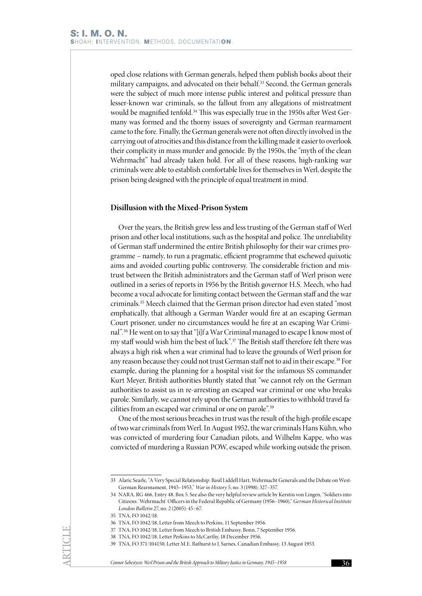oped close relations with German generals, helped them publish books about their military campaigns, and advocated on their behalf.<sup>33</sup> Second, the German generals were the subject of much more intense public interest and political pressure than lesser-known war criminals, so the fallout from any allegations of mistreatment would be magnified tenfold.<sup>34</sup> This was especially true in the 1950s after West Germany was formed and the thorny issues of sovereignty and German rearmament came to the fore. Finally, the German generals were not often directly involved in the carrying out of atrocities and this distance from the killing made it easier to overlook their complicity in mass murder and genocide. By the 1950s, the "myth of the clean Wehrmacht" had already taken hold. For all of these reasons, high-ranking war criminals were able to establish comfortable lives for themselves in Werl, despite the prison being designed with the principle of equal treatment in mind.

#### **Disillusion with the Mixed-Prison System**

Over the years, the British grew less and less trusting of the German staff of Werl prison and other local institutions, such as the hospital and police. The unreliability of German staff undermined the entire British philosophy for their war crimes programme – namely, to run a pragmatic, efficient programme that eschewed quixotic aims and avoided courting public controversy. The considerable friction and mistrust between the British administrators and the German staff of Werl prison were outlined in a series of reports in 1956 by the British governor H.S. Meech, who had become a vocal advocate for limiting contact between the German staff and the war criminals.35 Meech claimed that the German prison director had even stated "most emphatically, that although a German Warder would fire at an escaping German Court prisoner, under no circumstances would he fire at an escaping War Criminal".36 He went on to say that "[i]f a War Criminal managed to escape I know most of my staff would wish him the best of luck".37 The British staff therefore felt there was always a high risk when a war criminal had to leave the grounds of Werl prison for any reason because they could not trust German staff not to aid in their escape.38 For example, during the planning for a hospital visit for the infamous SS commander Kurt Meyer, British authorities bluntly stated that "we cannot rely on the German authorities to assist us in re-arresting an escaped war criminal or one who breaks parole. Similarly, we cannot rely upon the German authorities to withhold travel facilities from an escaped war criminal or one on parole".39

One of the most serious breaches in trust was the result of the high-profile escape of two war criminals from Werl. In August 1952, the war criminals Hans Kühn, who was convicted of murdering four Canadian pilots, and Wilhelm Kappe, who was convicted of murdering a Russian POW, escaped while working outside the prison.

35 TNA, FO 1042/18.

<sup>33</sup> Alaric Searle, "A Very Special Relationship: Basil Liddell Hart, Wehrmacht Generals and the Debate on West-German Rearmament, 1945–1953," *War in History* 5, no. 3 (1998): 327–357.

<sup>34</sup> NARA, RG 466, Entry 48, Box 5. See also the very helpful review article by Kerstin von Lingen, "Soldiers into Citizens: 'Wehrmacht' Officers in the Federal Republic of Germany (1956–1960)," *German Historical Institute London Bulletin* 27, no. 2 (2005): 45–67.

<sup>36</sup> TNA, FO 1042/18, Letter from Meech to Perkins, 11 September 1956.

<sup>37</sup> TNA, FO 1042/18, Letter from Meech to British Embassy, Bonn, 7 September 1956.

<sup>38</sup> TNA, FO 1042/18, Letter Perkins to McCarthy, 18 December 1956.

<sup>39</sup> TNA, FO 371/104150, Letter M.E. Bathurst to J. Sarnes, Canadian Embassy, 13 August 1953.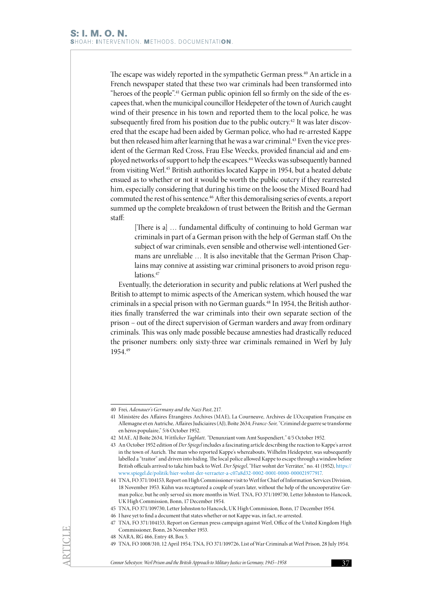The escape was widely reported in the sympathetic German press.<sup>40</sup> An article in a French newspaper stated that these two war criminals had been transformed into "heroes of the people".<sup>41</sup> German public opinion fell so firmly on the side of the escapees that, when the municipal councillor Heidepeter of the town of Aurich caught wind of their presence in his town and reported them to the local police, he was subsequently fired from his position due to the public outcry.<sup>42</sup> It was later discovered that the escape had been aided by German police, who had re-arrested Kappe but then released him after learning that he was a war criminal.<sup>43</sup> Even the vice president of the German Red Cross, Frau Else Weecks, provided financial aid and employed networks of support to help the escapees.<sup>44</sup> Weecks was subsequently banned from visiting Werl.45 British authorities located Kappe in 1954, but a heated debate ensued as to whether or not it would be worth the public outcry if they rearrested him, especially considering that during his time on the loose the Mixed Board had commuted the rest of his sentence.46 After this demoralising series of events, a report summed up the complete breakdown of trust between the British and the German staff:

[There is a] … fundamental difficulty of continuing to hold German war criminals in part of a German prison with the help of German staff. On the subject of war criminals, even sensible and otherwise well-intentioned Germans are unreliable … It is also inevitable that the German Prison Chaplains may connive at assisting war criminal prisoners to avoid prison regulations.<sup>47</sup>

Eventually, the deterioration in security and public relations at Werl pushed the British to attempt to mimic aspects of the American system, which housed the war criminals in a special prison with no German guards.<sup>48</sup> In 1954, the British authorities finally transferred the war criminals into their own separate section of the prison – out of the direct supervision of German warders and away from ordinary criminals. This was only made possible because amnesties had drastically reduced the prisoner numbers: only sixty-three war criminals remained in Werl by July 1954.49

<sup>40</sup> Frei, *Adenauer's Germany and the Nazi Past*, 217.

<sup>41</sup> Ministère des Affaires Étrangères Archives (MAE), La Courneuve, Archives de L'Occupation Française en Allemagne et en Autriche, Affaires Judiciaires (AJ), Boîte 2634; *France-Soir,* "Criminel de guerre se transforme en héros populaire," 5/6 October 1952.

<sup>42</sup> MAE, AJ Boîte 2634, *Wittlicher Tagblatt, "*Denunziant vom Amt Suspendiert*,"* 4/5 October 1952*.*

<sup>43</sup> An October 1952 edition of *Der Spiegel* includes a fascinating article describing the reaction to Kappe's arrest in the town of Aurich. The man who reported Kappe's whereabouts, Wilhelm Heidepeter, was subsequently labelled a "traitor" and driven into hiding. The local police allowed Kappe to escape through a window before British officials arrived to take him back to Werl. *Der Spiegel*, "Hier wohnt der Verräter," no. 41 (1952), [https://](https://www.spiegel.de/politik/hier-wohnt-der-verraeter-a-c07a8d32-0002-0001-0000-000021977917) [www.spiegel.de/politik/hier-wohnt-der-verraeter-a-c07a8d32-0002-0001-0000-000021977917.](https://www.spiegel.de/politik/hier-wohnt-der-verraeter-a-c07a8d32-0002-0001-0000-000021977917)

<sup>44</sup> TNA, FO 371/104153, Report on High Commissioner visit to Werl for Chief of Information Services Division, 18 November 1953. Kühn was recaptured a couple of years later, without the help of the uncooperative German police, but he only served six more months in Werl. TNA, FO 371/109730, Letter Johnston to Hancock, UK High Commission, Bonn, 17 December 1954.

<sup>45</sup> TNA, FO 371/109730, Letter Johnston to Hancock, UK High Commission, Bonn, 17 December 1954.

<sup>46</sup> I have yet to find a document that states whether or not Kappe was, in fact, re-arrested.

<sup>47</sup> TNA, FO 371/104153, Report on German press campaign against Werl, Office of the United Kingdom High Commissioner, Bonn, 26 November 1953.

<sup>48</sup> NARA, RG 466, Entry 48, Box 5.

<sup>49</sup> TNA, FO 1008/310, 12 April 1954; TNA, FO 371/109726, List of War Criminals at Werl Prison, 28 July 1954.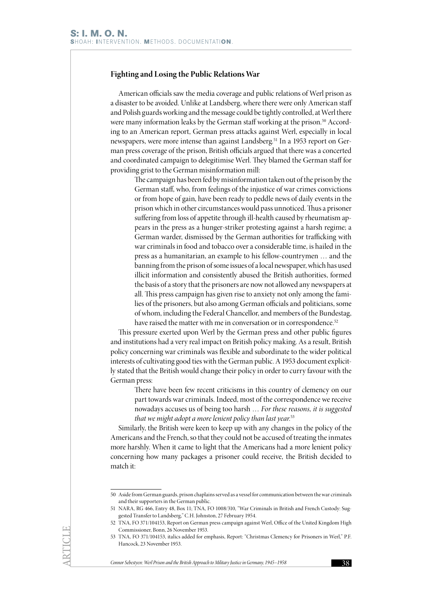#### **Fighting and Losing the Public Relations War**

American officials saw the media coverage and public relations of Werl prison as a disaster to be avoided. Unlike at Landsberg, where there were only American staff and Polish guards working and the message could be tightly controlled, at Werl there were many information leaks by the German staff working at the prison.<sup>50</sup> According to an American report, German press attacks against Werl, especially in local newspapers, were more intense than against Landsberg.<sup>51</sup> In a 1953 report on German press coverage of the prison, British officials argued that there was a concerted and coordinated campaign to delegitimise Werl. They blamed the German staff for providing grist to the German misinformation mill:

> The campaign has been fed by misinformation taken out of the prison by the German staff, who, from feelings of the injustice of war crimes convictions or from hope of gain, have been ready to peddle news of daily events in the prison which in other circumstances would pass unnoticed. Thus a prisoner suffering from loss of appetite through ill-health caused by rheumatism appears in the press as a hunger-striker protesting against a harsh regime; a German warder, dismissed by the German authorities for trafficking with war criminals in food and tobacco over a considerable time, is hailed in the press as a humanitarian, an example to his fellow-countrymen … and the banning from the prison of some issues of a local newspaper, which has used illicit information and consistently abused the British authorities, formed the basis of a story that the prisoners are now not allowed any newspapers at all. This press campaign has given rise to anxiety not only among the families of the prisoners, but also among German officials and politicians, some of whom, including the Federal Chancellor, and members of the Bundestag, have raised the matter with me in conversation or in correspondence.<sup>52</sup>

This pressure exerted upon Werl by the German press and other public figures and institutions had a very real impact on British policy making. As a result, British policy concerning war criminals was flexible and subordinate to the wider political interests of cultivating good ties with the German public. A 1953 document explicitly stated that the British would change their policy in order to curry favour with the German press:

> There have been few recent criticisms in this country of clemency on our part towards war criminals. Indeed, most of the correspondence we receive nowadays accuses us of being too harsh … *For these reasons, it is suggested that we might adopt a more lenient policy than last year.*<sup>53</sup>

Similarly, the British were keen to keep up with any changes in the policy of the Americans and the French, so that they could not be accused of treating the inmates more harshly. When it came to light that the Americans had a more lenient policy concerning how many packages a prisoner could receive, the British decided to match it:

<sup>50</sup> Aside from German guards, prison chaplains served as a vessel for communication between the war criminals and their supporters in the German public.

<sup>51</sup> NARA, RG 466, Entry 48, Box 11; TNA, FO 1008/310, "War Criminals in British and French Custody: Suggested Transfer to Landsberg," C.H. Johnston, 27 February 1954.

<sup>52</sup> TNA, FO 371/104153, Report on German press campaign against Werl, Office of the United Kingdom High Commissioner, Bonn, 26 November 1953.

<sup>53</sup> TNA, FO 371/104153, italics added for emphasis, Report: "Christmas Clemency for Prisoners in Werl," P.F. Hancock, 23 November 1953.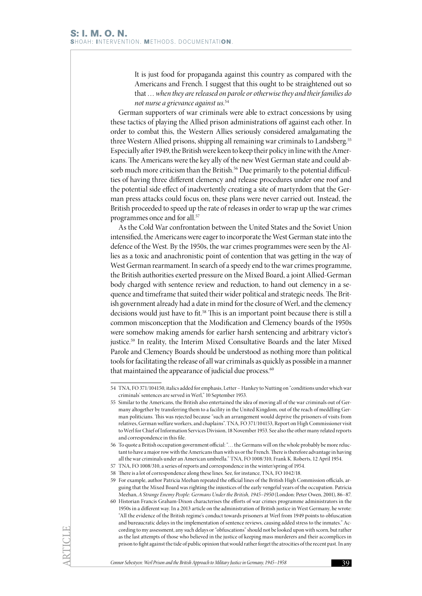It is just food for propaganda against this country as compared with the Americans and French. I suggest that this ought to be straightened out so that … *when they are released on parole or otherwise they and their families do not nurse a grievance against us*. 54

German supporters of war criminals were able to extract concessions by using these tactics of playing the Allied prison administrations off against each other. In order to combat this, the Western Allies seriously considered amalgamating the three Western Allied prisons, shipping all remaining war criminals to Landsberg.55 Especially after 1949, the British were keen to keep their policy in line with the Americans. The Americans were the key ally of the new West German state and could absorb much more criticism than the British.<sup>56</sup> Due primarily to the potential difficulties of having three different clemency and release procedures under one roof and the potential side effect of inadvertently creating a site of martyrdom that the German press attacks could focus on, these plans were never carried out. Instead, the British proceeded to speed up the rate of releases in order to wrap up the war crimes programmes once and for all.<sup>57</sup>

As the Cold War confrontation between the United States and the Soviet Union intensified, the Americans were eager to incorporate the West German state into the defence of the West. By the 1950s, the war crimes programmes were seen by the Allies as a toxic and anachronistic point of contention that was getting in the way of West German rearmament. In search of a speedy end to the war crimes programme, the British authorities exerted pressure on the Mixed Board, a joint Allied-German body charged with sentence review and reduction, to hand out clemency in a sequence and timeframe that suited their wider political and strategic needs. The British government already had a date in mind for the closure of Werl, and the clemency decisions would just have to fit.58 This is an important point because there is still a common misconception that the Modification and Clemency boards of the 1950s were somehow making amends for earlier harsh sentencing and arbitrary victor's justice.<sup>59</sup> In reality, the Interim Mixed Consultative Boards and the later Mixed Parole and Clemency Boards should be understood as nothing more than political tools for facilitating the release of all war criminals as quickly as possible in a manner that maintained the appearance of judicial due process.<sup>60</sup>

- 59 For example, author Patricia Meehan repeated the official lines of the British High Commission officials, arguing that the Mixed Board was righting the injustices of the early vengeful years of the occupation. Patricia Meehan, *A Strange Enemy People: Germans Under the British, 1945–1950* (London: Peter Owen, 2001), 86–87.
- 60 Historian Francis Graham-Dixon characterises the efforts of war crimes programme administrators in the 1950s in a different way. In a 2013 article on the administration of British justice in West Germany, he wrote: "All the evidence of the British regime's conduct towards prisoners at Werl from 1949 points to obfuscation and bureaucratic delays in the implementation of sentence reviews, causing added stress to the inmates." According to my assessment, any such delays or "obfuscations" should not be looked upon with scorn, but rather as the last attempts of those who believed in the justice of keeping mass murderers and their accomplices in prison to fight against the tide of public opinion that would rather forget the atrocities of the recent past. In any

*Connor Sebestyen: Werl Prison and the British Approach to Military Justice in Germany, 1945–1958* 39

<sup>54</sup> TNA, FO 371/104150, italics added for emphasis, Letter – Hankey to Nutting on "conditions under which war criminals' sentences are served in Werl," 10 September 1953.

<sup>55</sup> Similar to the Americans, the British also entertained the idea of moving all of the war criminals out of Germany altogether by transferring them to a facility in the United Kingdom, out of the reach of meddling German politicians. This was rejected because "such an arrangement would deprive the prisoners of visits from relatives, German welfare workers, and chaplains". TNA, FO 371/104153, Report on High Commissioner visit to Werl for Chief of Information Services Division, 18 November 1953. See also the other many related reports and correspondence in this file.

<sup>56</sup> To quote a British occupation government official: "… the Germans will on the whole probably be more reluctant to have a major row with the Americans than with us or the French. There is therefore advantage in having all the war criminals under an American umbrella." TNA, FO 1008/310, Frank K. Roberts, 12 April 1954.

<sup>57</sup> TNA, FO 1008/310, a series of reports and correspondence in the winter/spring of 1954.

<sup>58</sup> There is a lot of correspondence along these lines. See, for instance, TNA, FO 1042/18.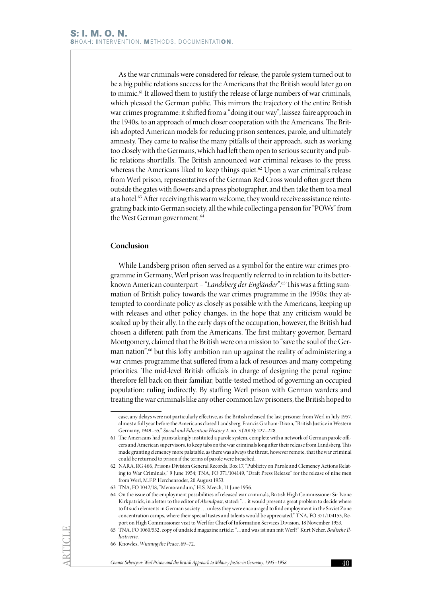As the war criminals were considered for release, the parole system turned out to be a big public relations success for the Americans that the British would later go on to mimic.<sup>61</sup> It allowed them to justify the release of large numbers of war criminals, which pleased the German public. This mirrors the trajectory of the entire British war crimes programme: it shifted from a "doing it our way", laissez-faire approach in the 1940s, to an approach of much closer cooperation with the Americans. The British adopted American models for reducing prison sentences, parole, and ultimately amnesty. They came to realise the many pitfalls of their approach, such as working too closely with the Germans, which had left them open to serious security and public relations shortfalls. The British announced war criminal releases to the press, whereas the Americans liked to keep things quiet.<sup>62</sup> Upon a war criminal's release from Werl prison, representatives of the German Red Cross would often greet them outside the gates with flowers and a press photographer, and then take them to a meal at a hotel.<sup>63</sup> After receiving this warm welcome, they would receive assistance reintegrating back into German society, all the while collecting a pension for "POWs" from the West German government.<sup>64</sup>

# **Conclusion**

While Landsberg prison often served as a symbol for the entire war crimes programme in Germany, Werl prison was frequently referred to in relation to its betterknown American counterpart – "*Landsberg der Engländer*".65This was a fitting summation of British policy towards the war crimes programme in the 1950s: they attempted to coordinate policy as closely as possible with the Americans, keeping up with releases and other policy changes, in the hope that any criticism would be soaked up by their ally. In the early days of the occupation, however, the British had chosen a different path from the Americans. The first military governor, Bernard Montgomery, claimed that the British were on a mission to "save the soul of the German nation",<sup>66</sup> but this lofty ambition ran up against the reality of administering a war crimes programme that suffered from a lack of resources and many competing priorities. The mid-level British officials in charge of designing the penal regime therefore fell back on their familiar, battle-tested method of governing an occupied population: ruling indirectly. By staffing Werl prison with German warders and treating the war criminals like any other common law prisoners, the British hoped to

case, any delays were not particularly effective, as the British released the last prisoner from Werl in July 1957, almost a full year before the Americans closed Landsberg. Francis Graham-Dixon, "British Justice in Western Germany, 1949–55," *Social and Education History* 2, no. 3 (2013): 227–228.

<sup>61</sup> The Americans had painstakingly instituted a parole system, complete with a network of German parole officers and American supervisors, to keep tabs on the war criminals long after their release from Landsberg. This made granting clemency more palatable, as there was always the threat, however remote, that the war criminal could be returned to prison if the terms of parole were breached.

<sup>62</sup> NARA, RG 466, Prisons Division General Records, Box 17, "Publicity on Parole and Clemency Actions Relating to War Criminals," 9 June 1954; TNA, FO 371/104149, "Draft Press Release" for the release of nine men from Werl, M.F.P. Herchenroder, 20 August 1953.

<sup>63</sup> TNA, FO 1042/18, "Memorandum," H.S. Meech, 11 June 1956.

<sup>64</sup> On the issue of the employment possibilities of released war criminals, British High Commissioner Sir Ivone Kirkpatrick, in a letter to the editor of *Abendpost*, stated: "… it would present a great problem to decide where to fit such elements in German society … unless they were encouraged to find employment in the Soviet Zone concentration camps, where their special tastes and talents would be appreciated." TNA, FO 371/104153, Report on High Commissioner visit to Werl for Chief of Information Services Division, 18 November 1953.

<sup>65</sup> TNA, FO 1060/532, copy of undated magazine article: "…und was ist nun mit Werl?" Kurt Neher, *Badische Illustrierte*.

<sup>66</sup> Knowles, *Winning the Peace*, 69–72.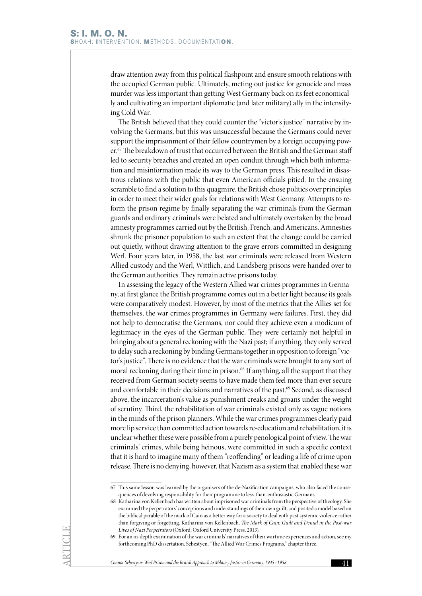draw attention away from this political flashpoint and ensure smooth relations with the occupied German public. Ultimately, meting out justice for genocide and mass murder was less important than getting West Germany back on its feet economically and cultivating an important diplomatic (and later military) ally in the intensifying Cold War.

The British believed that they could counter the "victor's justice" narrative by involving the Germans, but this was unsuccessful because the Germans could never support the imprisonment of their fellow countrymen by a foreign occupying power.<sup>67</sup> The breakdown of trust that occurred between the British and the German staff led to security breaches and created an open conduit through which both information and misinformation made its way to the German press. This resulted in disastrous relations with the public that even American officials pitied. In the ensuing scramble to find a solution to this quagmire, the British chose politics over principles in order to meet their wider goals for relations with West Germany. Attempts to reform the prison regime by finally separating the war criminals from the German guards and ordinary criminals were belated and ultimately overtaken by the broad amnesty programmes carried out by the British, French, and Americans. Amnesties shrunk the prisoner population to such an extent that the change could be carried out quietly, without drawing attention to the grave errors committed in designing Werl. Four years later, in 1958, the last war criminals were released from Western Allied custody and the Werl, Wittlich, and Landsberg prisons were handed over to the German authorities. They remain active prisons today.

In assessing the legacy of the Western Allied war crimes programmes in Germany, at first glance the British programme comes out in a better light because its goals were comparatively modest. However, by most of the metrics that the Allies set for themselves, the war crimes programmes in Germany were failures. First, they did not help to democratise the Germans, nor could they achieve even a modicum of legitimacy in the eyes of the German public. They were certainly not helpful in bringing about a general reckoning with the Nazi past; if anything, they only served to delay such a reckoning by binding Germans together in opposition to foreign "victor's justice". There is no evidence that the war criminals were brought to any sort of moral reckoning during their time in prison.<sup>68</sup> If anything, all the support that they received from German society seems to have made them feel more than ever secure and comfortable in their decisions and narratives of the past.<sup>69</sup> Second, as discussed above, the incarceration's value as punishment creaks and groans under the weight of scrutiny. Third, the rehabilitation of war criminals existed only as vague notions in the minds of the prison planners. While the war crimes programmes clearly paid more lip service than committed action towards re-education and rehabilitation, it is unclear whether these were possible from a purely penological point of view. The war criminals' crimes, while being heinous, were committed in such a specific context that it is hard to imagine many of them "reoffending" or leading a life of crime upon release. There is no denying, however, that Nazism as a system that enabled these war

*Connor Sebestyen: Werl Prison and the British Approach to Military Justice in Germany, 1945–1958* 41

<sup>67</sup> This same lesson was learned by the organisers of the de-Nazification campaigns, who also faced the consequences of devolving responsibility for their programme to less-than-enthusiastic Germans.

<sup>68</sup> Katharina von Kellenbach has written about imprisoned war criminals from the perspective of theology. She examined the perpetrators' conceptions and understandings of their own guilt, and posited a model based on the biblical parable of the mark of Cain as a better way for a society to deal with past systemic violence rather than forgiving or forgetting. Katharina von Kellenbach, *The Mark of Cain: Guilt and Denial in the Post-war Lives of Nazi Perpetrators* (Oxford: Oxford University Press, 2013).

<sup>69</sup> For an in-depth examination of the war criminals' narratives of their wartime experiences and action, see my forthcoming PhD dissertation, Sebestyen, "The Allied War Crimes Programs," chapter three.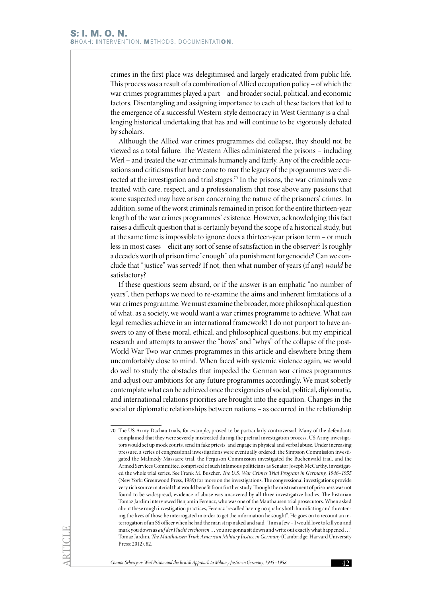crimes in the first place was delegitimised and largely eradicated from public life. This process was a result of a combination of Allied occupation policy – of which the war crimes programmes played a part – and broader social, political, and economic factors. Disentangling and assigning importance to each of these factors that led to the emergence of a successful Western-style democracy in West Germany is a challenging historical undertaking that has and will continue to be vigorously debated by scholars.

Although the Allied war crimes programmes did collapse, they should not be viewed as a total failure. The Western Allies administered the prisons – including Werl – and treated the war criminals humanely and fairly. Any of the credible accusations and criticisms that have come to mar the legacy of the programmes were directed at the investigation and trial stages.<sup>70</sup> In the prisons, the war criminals were treated with care, respect, and a professionalism that rose above any passions that some suspected may have arisen concerning the nature of the prisoners' crimes. In addition, some of the worst criminals remained in prison for the entire thirteen-year length of the war crimes programmes' existence. However, acknowledging this fact raises a difficult question that is certainly beyond the scope of a historical study, but at the same time is impossible to ignore: does a thirteen-year prison term – or much less in most cases – elicit any sort of sense of satisfaction in the observer? Is roughly a decade's worth of prison time "enough" of a punishment for genocide? Can we conclude that "justice" was served? If not, then what number of years (if any) *would* be satisfactory?

If these questions seem absurd, or if the answer is an emphatic "no number of years", then perhaps we need to re-examine the aims and inherent limitations of a war crimes programme. We must examine the broader, more philosophical question of what, as a society, we would want a war crimes programme to achieve. What *can*  legal remedies achieve in an international framework? I do not purport to have answers to any of these moral, ethical, and philosophical questions, but my empirical research and attempts to answer the "hows" and "whys" of the collapse of the post-World War Two war crimes programmes in this article and elsewhere bring them uncomfortably close to mind. When faced with systemic violence again, we would do well to study the obstacles that impeded the German war crimes programmes and adjust our ambitions for any future programmes accordingly. We must soberly contemplate what can be achieved once the exigencies of social, political, diplomatic, and international relations priorities are brought into the equation. Changes in the social or diplomatic relationships between nations – as occurred in the relationship

<sup>70</sup> The US Army Dachau trials, for example, proved to be particularly controversial. Many of the defendants complained that they were severely mistreated during the pretrial investigation process. US Army investigators would set up mock courts, send in fake priests, and engage in physical and verbal abuse. Under increasing pressure, a series of congressional investigations were eventually ordered: the Simpson Commission investigated the Malmédy Massacre trial, the Ferguson Commission investigated the Buchenwald trial, and the Armed Services Committee, comprised of such infamous politicians as Senator Joseph McCarthy, investigated the whole trial series. See Frank M. Buscher, *The U.S. War Crimes Trial Program in Germany, 1946–1955*  (New York: Greenwood Press, 1989) for more on the investigations. The congressional investigations provide very rich source material that would benefit from further study. Though the mistreatment of prisoners was not found to be widespread, evidence of abuse was uncovered by all three investigative bodies. The historian Tomaz Jardim interviewed Benjamin Ferencz, who was one of the Mauthausen trial prosecutors. When asked about these rough investigation practices, Ferencz "recalled having no qualms both humiliating and threatening the lives of those he interrogated in order to get the information he sought". He goes on to recount an interrogation of an SS officer when he had the man strip naked and said: "I am a Jew – I would love to kill you and mark you down as *auf der Flucht erschossen* … you are gonna sit down and write out exactly what happened …" Tomaz Jardim, *The Mauthausen Trial: American Military Justice in Germany* (Cambridge: Harvard University Press: 2012), 82.

*Connor Sebestyen: Werl Prison and the British Approach to Military Justice in Germany, 1945–1958* 42